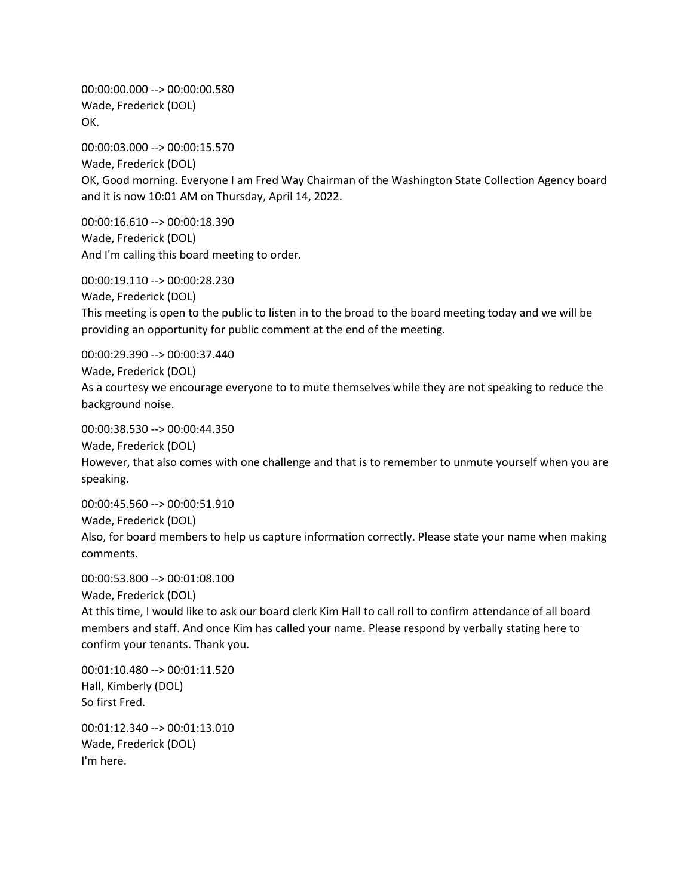00:00:00.000 --> 00:00:00.580 Wade, Frederick (DOL) OK.

00:00:03.000 --> 00:00:15.570 Wade, Frederick (DOL) OK, Good morning. Everyone I am Fred Way Chairman of the Washington State Collection Agency board and it is now 10:01 AM on Thursday, April 14, 2022.

00:00:16.610 --> 00:00:18.390 Wade, Frederick (DOL) And I'm calling this board meeting to order.

00:00:19.110 --> 00:00:28.230 Wade, Frederick (DOL) This meeting is open to the public to listen in to the broad to the board meeting today and we will be providing an opportunity for public comment at the end of the meeting.

00:00:29.390 --> 00:00:37.440 Wade, Frederick (DOL) As a courtesy we encourage everyone to to mute themselves while they are not speaking to reduce the background noise.

00:00:38.530 --> 00:00:44.350 Wade, Frederick (DOL) However, that also comes with one challenge and that is to remember to unmute yourself when you are speaking.

00:00:45.560 --> 00:00:51.910 Wade, Frederick (DOL) Also, for board members to help us capture information correctly. Please state your name when making comments.

00:00:53.800 --> 00:01:08.100

Wade, Frederick (DOL)

At this time, I would like to ask our board clerk Kim Hall to call roll to confirm attendance of all board members and staff. And once Kim has called your name. Please respond by verbally stating here to confirm your tenants. Thank you.

00:01:10.480 --> 00:01:11.520 Hall, Kimberly (DOL) So first Fred.

00:01:12.340 --> 00:01:13.010 Wade, Frederick (DOL) I'm here.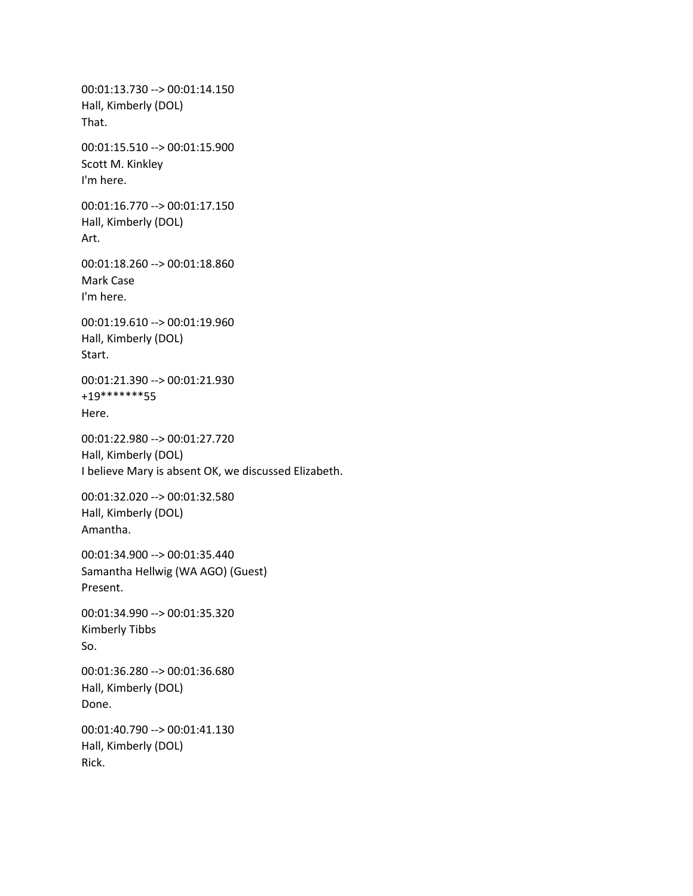00:01:13.730 --> 00:01:14.150 Hall, Kimberly (DOL) That. 00:01:15.510 --> 00:01:15.900 Scott M. Kinkley I'm here. 00:01:16.770 --> 00:01:17.150 Hall, Kimberly (DOL) Art. 00:01:18.260 --> 00:01:18.860 Mark Case I'm here. 00:01:19.610 --> 00:01:19.960 Hall, Kimberly (DOL) Start. 00:01:21.390 --> 00:01:21.930 +19\*\*\*\*\*\*\*55 Here. 00:01:22.980 --> 00:01:27.720 Hall, Kimberly (DOL) I believe Mary is absent OK, we discussed Elizabeth. 00:01:32.020 --> 00:01:32.580 Hall, Kimberly (DOL) Amantha. 00:01:34.900 --> 00:01:35.440 Samantha Hellwig (WA AGO) (Guest) Present. 00:01:34.990 --> 00:01:35.320 Kimberly Tibbs So. 00:01:36.280 --> 00:01:36.680 Hall, Kimberly (DOL) Done. 00:01:40.790 --> 00:01:41.130 Hall, Kimberly (DOL) Rick.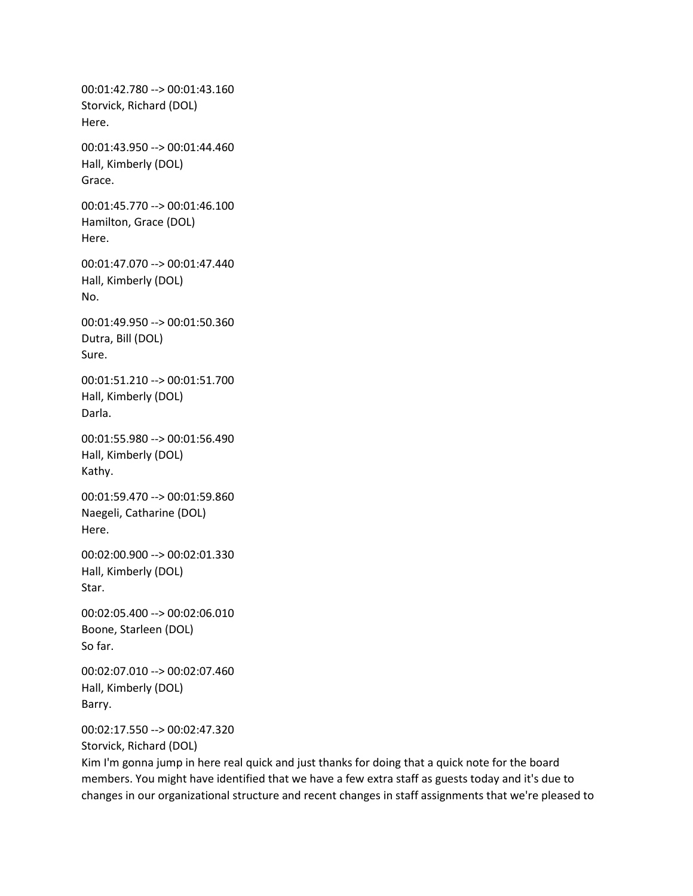00:01:42.780 --> 00:01:43.160 Storvick, Richard (DOL) Here. 00:01:43.950 --> 00:01:44.460 Hall, Kimberly (DOL) Grace. 00:01:45.770 --> 00:01:46.100 Hamilton, Grace (DOL) Here. 00:01:47.070 --> 00:01:47.440 Hall, Kimberly (DOL) No. 00:01:49.950 --> 00:01:50.360 Dutra, Bill (DOL) Sure. 00:01:51.210 --> 00:01:51.700 Hall, Kimberly (DOL) Darla. 00:01:55.980 --> 00:01:56.490 Hall, Kimberly (DOL) Kathy. 00:01:59.470 --> 00:01:59.860 Naegeli, Catharine (DOL) Here. 00:02:00.900 --> 00:02:01.330 Hall, Kimberly (DOL) Star. 00:02:05.400 --> 00:02:06.010 Boone, Starleen (DOL) So far. 00:02:07.010 --> 00:02:07.460 Hall, Kimberly (DOL) Barry. 00:02:17.550 --> 00:02:47.320 Storvick, Richard (DOL)

Kim I'm gonna jump in here real quick and just thanks for doing that a quick note for the board members. You might have identified that we have a few extra staff as guests today and it's due to changes in our organizational structure and recent changes in staff assignments that we're pleased to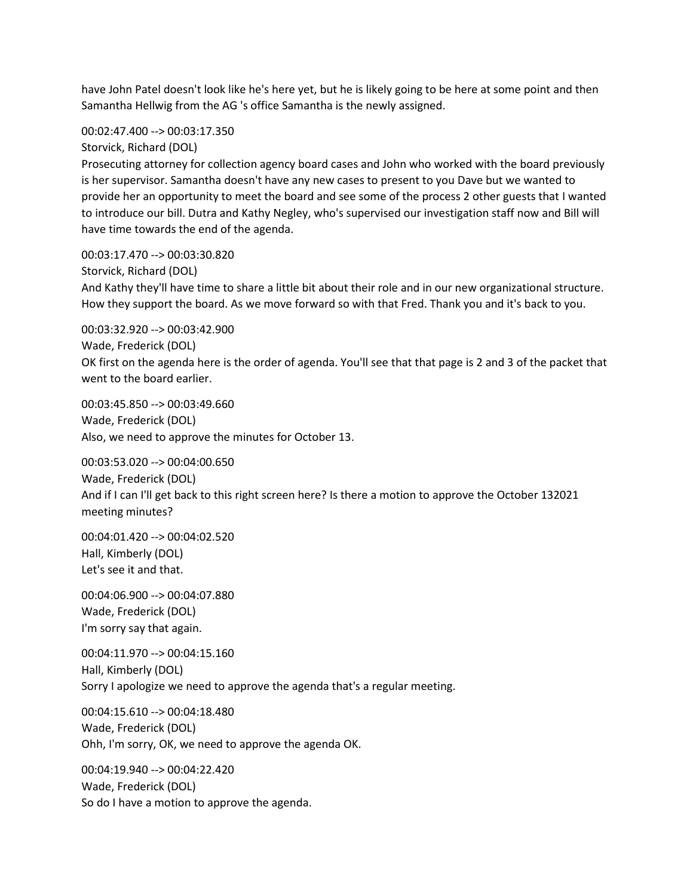have John Patel doesn't look like he's here yet, but he is likely going to be here at some point and then Samantha Hellwig from the AG 's office Samantha is the newly assigned.

00:02:47.400 --> 00:03:17.350

Storvick, Richard (DOL)

Prosecuting attorney for collection agency board cases and John who worked with the board previously is her supervisor. Samantha doesn't have any new cases to present to you Dave but we wanted to provide her an opportunity to meet the board and see some of the process 2 other guests that I wanted to introduce our bill. Dutra and Kathy Negley, who's supervised our investigation staff now and Bill will have time towards the end of the agenda.

00:03:17.470 --> 00:03:30.820

Storvick, Richard (DOL)

And Kathy they'll have time to share a little bit about their role and in our new organizational structure. How they support the board. As we move forward so with that Fred. Thank you and it's back to you.

00:03:32.920 --> 00:03:42.900

Wade, Frederick (DOL)

OK first on the agenda here is the order of agenda. You'll see that that page is 2 and 3 of the packet that went to the board earlier.

00:03:45.850 --> 00:03:49.660 Wade, Frederick (DOL) Also, we need to approve the minutes for October 13.

00:03:53.020 --> 00:04:00.650 Wade, Frederick (DOL) And if I can I'll get back to this right screen here? Is there a motion to approve the October 132021 meeting minutes?

00:04:01.420 --> 00:04:02.520 Hall, Kimberly (DOL) Let's see it and that.

00:04:06.900 --> 00:04:07.880 Wade, Frederick (DOL) I'm sorry say that again.

00:04:11.970 --> 00:04:15.160 Hall, Kimberly (DOL) Sorry I apologize we need to approve the agenda that's a regular meeting.

00:04:15.610 --> 00:04:18.480 Wade, Frederick (DOL) Ohh, I'm sorry, OK, we need to approve the agenda OK.

00:04:19.940 --> 00:04:22.420 Wade, Frederick (DOL) So do I have a motion to approve the agenda.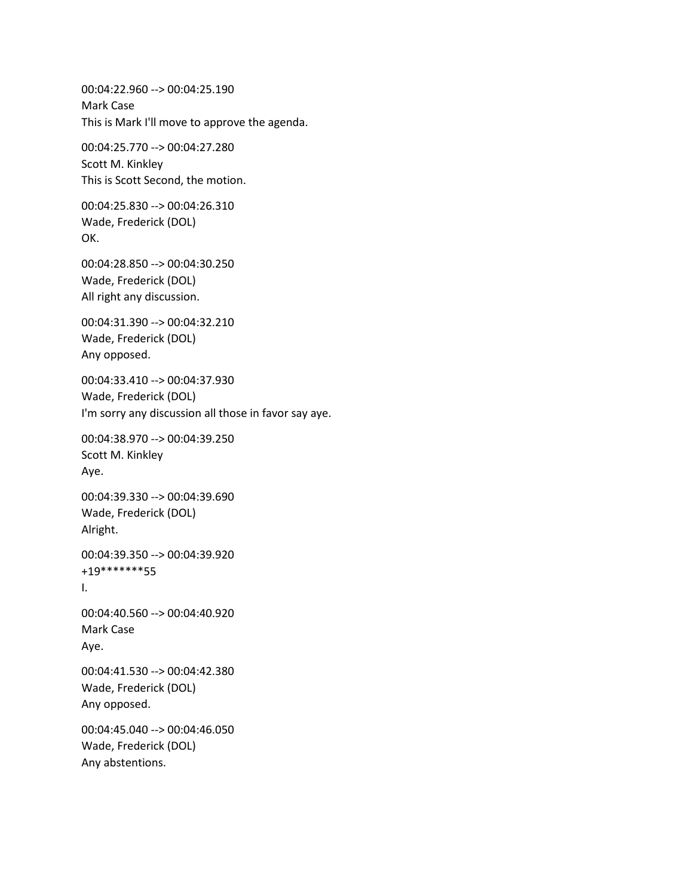00:04:22.960 --> 00:04:25.190 Mark Case This is Mark I'll move to approve the agenda. 00:04:25.770 --> 00:04:27.280 Scott M. Kinkley This is Scott Second, the motion. 00:04:25.830 --> 00:04:26.310 Wade, Frederick (DOL) OK. 00:04:28.850 --> 00:04:30.250 Wade, Frederick (DOL) All right any discussion. 00:04:31.390 --> 00:04:32.210 Wade, Frederick (DOL) Any opposed. 00:04:33.410 --> 00:04:37.930 Wade, Frederick (DOL) I'm sorry any discussion all those in favor say aye. 00:04:38.970 --> 00:04:39.250 Scott M. Kinkley Aye. 00:04:39.330 --> 00:04:39.690 Wade, Frederick (DOL) Alright. 00:04:39.350 --> 00:04:39.920 +19\*\*\*\*\*\*\*55 I. 00:04:40.560 --> 00:04:40.920 Mark Case Aye. 00:04:41.530 --> 00:04:42.380 Wade, Frederick (DOL) Any opposed. 00:04:45.040 --> 00:04:46.050 Wade, Frederick (DOL) Any abstentions.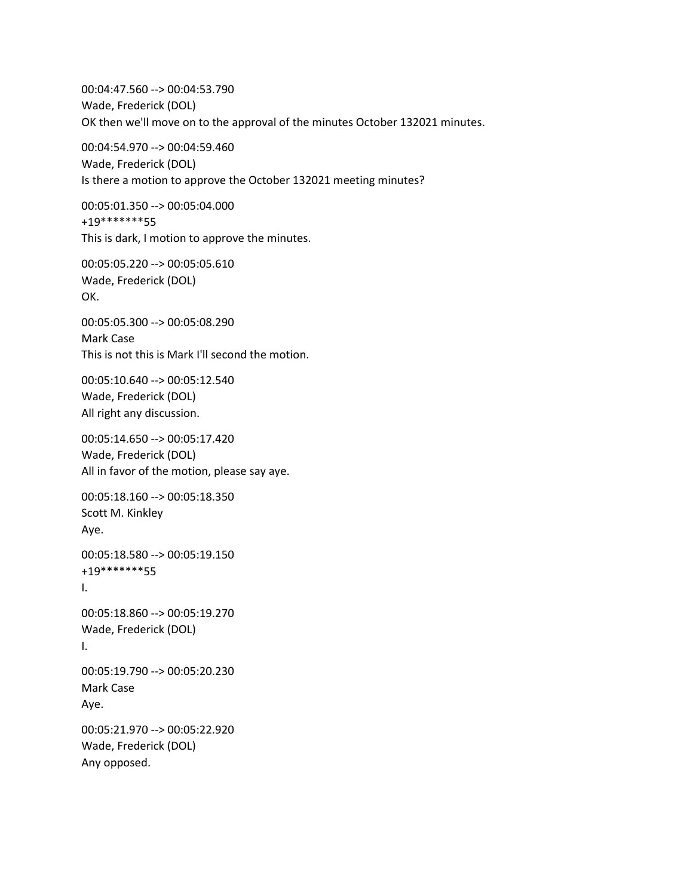00:04:47.560 --> 00:04:53.790 Wade, Frederick (DOL) OK then we'll move on to the approval of the minutes October 132021 minutes.

00:04:54.970 --> 00:04:59.460 Wade, Frederick (DOL) Is there a motion to approve the October 132021 meeting minutes?

00:05:01.350 --> 00:05:04.000 +19\*\*\*\*\*\*\*55 This is dark, I motion to approve the minutes.

00:05:05.220 --> 00:05:05.610 Wade, Frederick (DOL) OK.

00:05:05.300 --> 00:05:08.290 Mark Case This is not this is Mark I'll second the motion.

00:05:10.640 --> 00:05:12.540 Wade, Frederick (DOL) All right any discussion.

00:05:14.650 --> 00:05:17.420 Wade, Frederick (DOL) All in favor of the motion, please say aye.

00:05:18.160 --> 00:05:18.350 Scott M. Kinkley Aye.

00:05:18.580 --> 00:05:19.150 +19\*\*\*\*\*\*\*55 I.

00:05:18.860 --> 00:05:19.270 Wade, Frederick (DOL) I.

00:05:19.790 --> 00:05:20.230 Mark Case Aye.

00:05:21.970 --> 00:05:22.920 Wade, Frederick (DOL) Any opposed.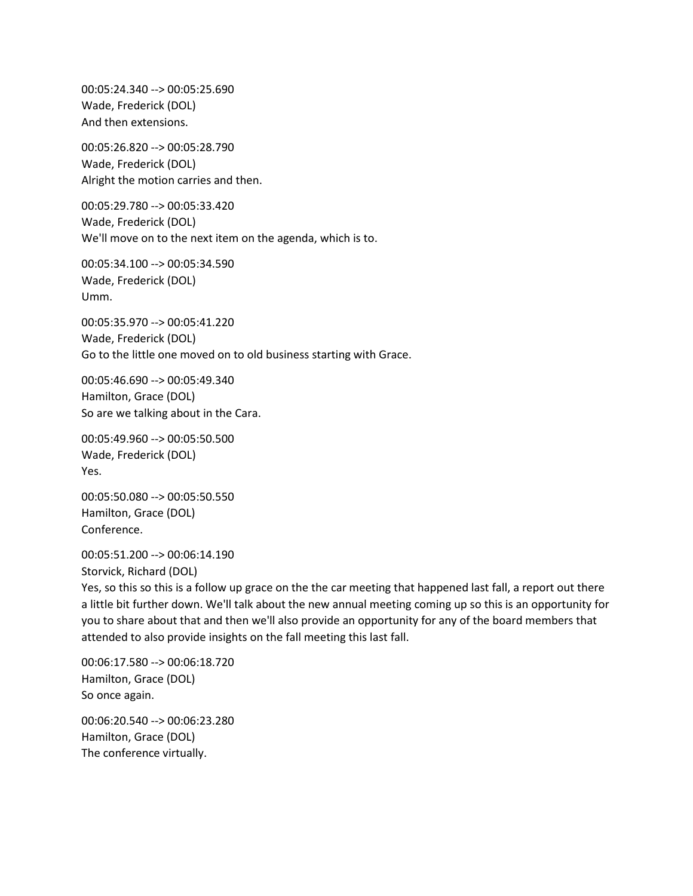00:05:24.340 --> 00:05:25.690 Wade, Frederick (DOL) And then extensions.

00:05:26.820 --> 00:05:28.790 Wade, Frederick (DOL) Alright the motion carries and then.

00:05:29.780 --> 00:05:33.420 Wade, Frederick (DOL) We'll move on to the next item on the agenda, which is to.

00:05:34.100 --> 00:05:34.590 Wade, Frederick (DOL) Umm.

00:05:35.970 --> 00:05:41.220 Wade, Frederick (DOL) Go to the little one moved on to old business starting with Grace.

00:05:46.690 --> 00:05:49.340 Hamilton, Grace (DOL) So are we talking about in the Cara.

00:05:49.960 --> 00:05:50.500 Wade, Frederick (DOL) Yes.

00:05:50.080 --> 00:05:50.550 Hamilton, Grace (DOL) Conference.

00:05:51.200 --> 00:06:14.190 Storvick, Richard (DOL)

Yes, so this so this is a follow up grace on the the car meeting that happened last fall, a report out there a little bit further down. We'll talk about the new annual meeting coming up so this is an opportunity for you to share about that and then we'll also provide an opportunity for any of the board members that attended to also provide insights on the fall meeting this last fall.

00:06:17.580 --> 00:06:18.720 Hamilton, Grace (DOL) So once again.

00:06:20.540 --> 00:06:23.280 Hamilton, Grace (DOL) The conference virtually.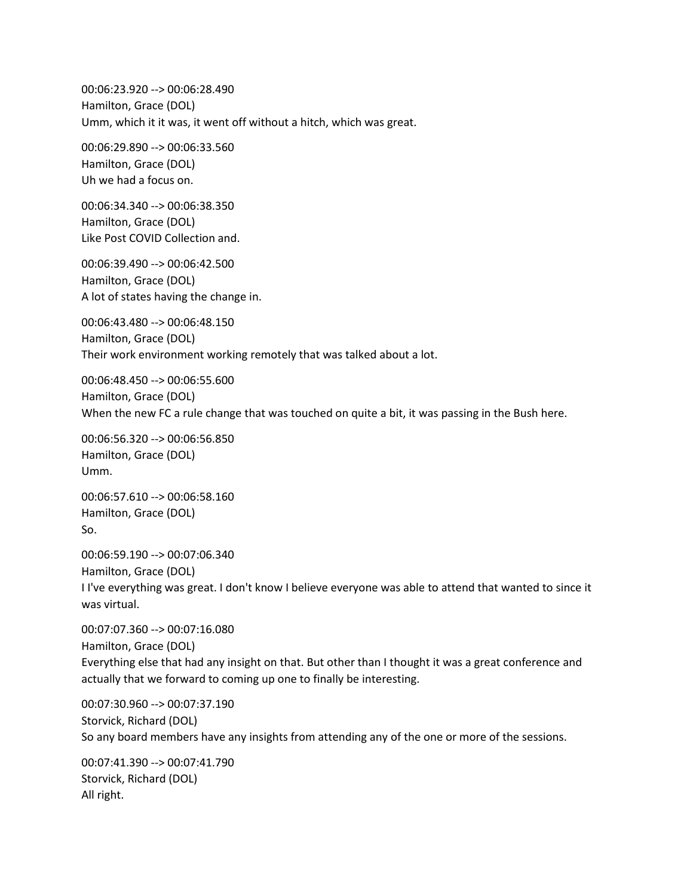00:06:23.920 --> 00:06:28.490 Hamilton, Grace (DOL) Umm, which it it was, it went off without a hitch, which was great.

00:06:29.890 --> 00:06:33.560 Hamilton, Grace (DOL) Uh we had a focus on.

00:06:34.340 --> 00:06:38.350 Hamilton, Grace (DOL) Like Post COVID Collection and.

00:06:39.490 --> 00:06:42.500 Hamilton, Grace (DOL) A lot of states having the change in.

00:06:43.480 --> 00:06:48.150 Hamilton, Grace (DOL) Their work environment working remotely that was talked about a lot.

00:06:48.450 --> 00:06:55.600 Hamilton, Grace (DOL) When the new FC a rule change that was touched on quite a bit, it was passing in the Bush here.

00:06:56.320 --> 00:06:56.850 Hamilton, Grace (DOL) Umm.

00:06:57.610 --> 00:06:58.160 Hamilton, Grace (DOL) So.

00:06:59.190 --> 00:07:06.340 Hamilton, Grace (DOL) I I've everything was great. I don't know I believe everyone was able to attend that wanted to since it was virtual.

00:07:07.360 --> 00:07:16.080 Hamilton, Grace (DOL) Everything else that had any insight on that. But other than I thought it was a great conference and actually that we forward to coming up one to finally be interesting.

00:07:30.960 --> 00:07:37.190 Storvick, Richard (DOL) So any board members have any insights from attending any of the one or more of the sessions.

00:07:41.390 --> 00:07:41.790 Storvick, Richard (DOL) All right.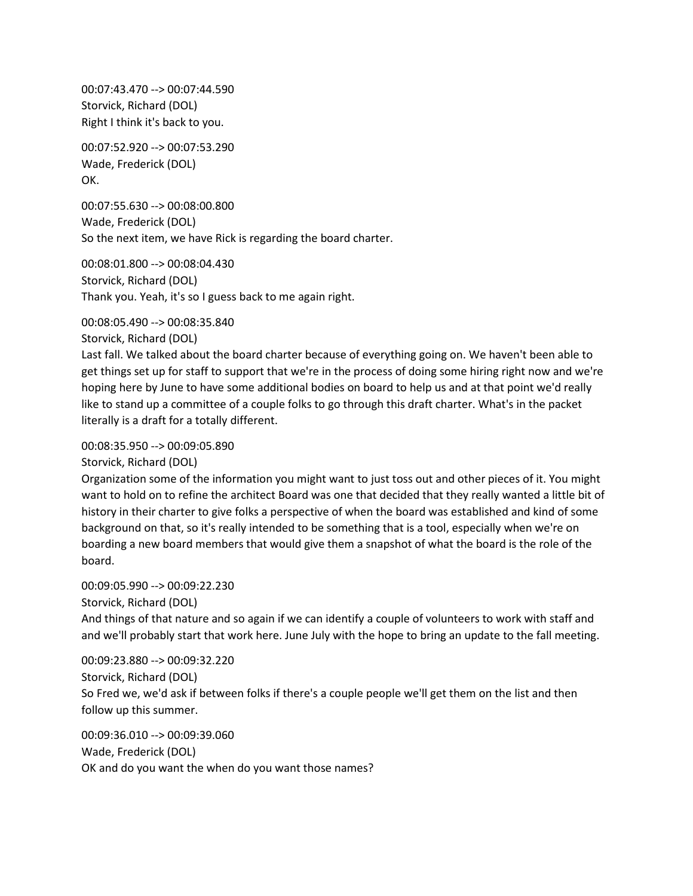00:07:43.470 --> 00:07:44.590 Storvick, Richard (DOL) Right I think it's back to you.

00:07:52.920 --> 00:07:53.290 Wade, Frederick (DOL) OK.

00:07:55.630 --> 00:08:00.800 Wade, Frederick (DOL) So the next item, we have Rick is regarding the board charter.

00:08:01.800 --> 00:08:04.430 Storvick, Richard (DOL) Thank you. Yeah, it's so I guess back to me again right.

00:08:05.490 --> 00:08:35.840

Storvick, Richard (DOL)

Last fall. We talked about the board charter because of everything going on. We haven't been able to get things set up for staff to support that we're in the process of doing some hiring right now and we're hoping here by June to have some additional bodies on board to help us and at that point we'd really like to stand up a committee of a couple folks to go through this draft charter. What's in the packet literally is a draft for a totally different.

00:08:35.950 --> 00:09:05.890

Storvick, Richard (DOL)

Organization some of the information you might want to just toss out and other pieces of it. You might want to hold on to refine the architect Board was one that decided that they really wanted a little bit of history in their charter to give folks a perspective of when the board was established and kind of some background on that, so it's really intended to be something that is a tool, especially when we're on boarding a new board members that would give them a snapshot of what the board is the role of the board.

00:09:05.990 --> 00:09:22.230

Storvick, Richard (DOL)

And things of that nature and so again if we can identify a couple of volunteers to work with staff and and we'll probably start that work here. June July with the hope to bring an update to the fall meeting.

00:09:23.880 --> 00:09:32.220 Storvick, Richard (DOL) So Fred we, we'd ask if between folks if there's a couple people we'll get them on the list and then follow up this summer.

00:09:36.010 --> 00:09:39.060 Wade, Frederick (DOL) OK and do you want the when do you want those names?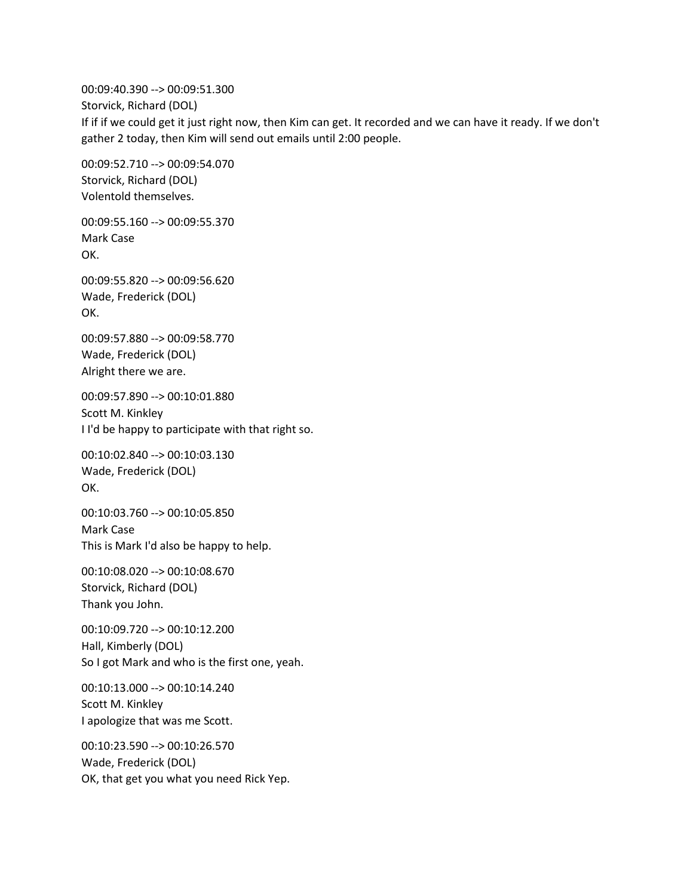00:09:40.390 --> 00:09:51.300 Storvick, Richard (DOL) If if if we could get it just right now, then Kim can get. It recorded and we can have it ready. If we don't gather 2 today, then Kim will send out emails until 2:00 people.

00:09:52.710 --> 00:09:54.070 Storvick, Richard (DOL) Volentold themselves.

00:09:55.160 --> 00:09:55.370 Mark Case OK.

00:09:55.820 --> 00:09:56.620 Wade, Frederick (DOL) OK.

00:09:57.880 --> 00:09:58.770 Wade, Frederick (DOL) Alright there we are.

00:09:57.890 --> 00:10:01.880 Scott M. Kinkley I I'd be happy to participate with that right so.

00:10:02.840 --> 00:10:03.130 Wade, Frederick (DOL) OK.

00:10:03.760 --> 00:10:05.850 Mark Case This is Mark I'd also be happy to help.

00:10:08.020 --> 00:10:08.670 Storvick, Richard (DOL) Thank you John.

00:10:09.720 --> 00:10:12.200 Hall, Kimberly (DOL) So I got Mark and who is the first one, yeah.

00:10:13.000 --> 00:10:14.240 Scott M. Kinkley I apologize that was me Scott.

00:10:23.590 --> 00:10:26.570 Wade, Frederick (DOL) OK, that get you what you need Rick Yep.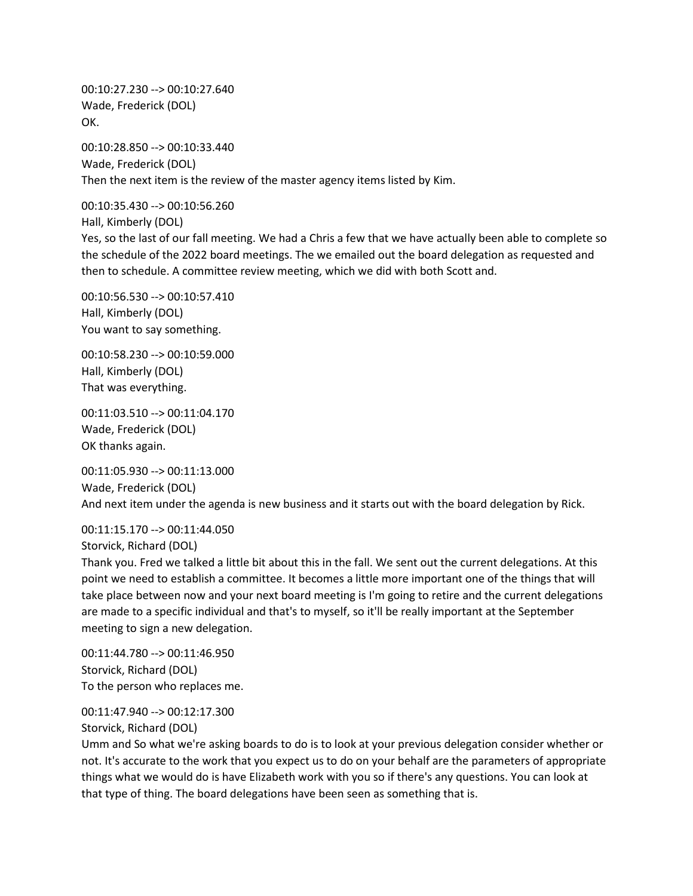00:10:27.230 --> 00:10:27.640 Wade, Frederick (DOL) OK.

00:10:28.850 --> 00:10:33.440 Wade, Frederick (DOL) Then the next item is the review of the master agency items listed by Kim.

00:10:35.430 --> 00:10:56.260

Hall, Kimberly (DOL)

Yes, so the last of our fall meeting. We had a Chris a few that we have actually been able to complete so the schedule of the 2022 board meetings. The we emailed out the board delegation as requested and then to schedule. A committee review meeting, which we did with both Scott and.

00:10:56.530 --> 00:10:57.410 Hall, Kimberly (DOL) You want to say something.

00:10:58.230 --> 00:10:59.000 Hall, Kimberly (DOL) That was everything.

00:11:03.510 --> 00:11:04.170 Wade, Frederick (DOL) OK thanks again.

00:11:05.930 --> 00:11:13.000 Wade, Frederick (DOL) And next item under the agenda is new business and it starts out with the board delegation by Rick.

00:11:15.170 --> 00:11:44.050 Storvick, Richard (DOL)

Thank you. Fred we talked a little bit about this in the fall. We sent out the current delegations. At this point we need to establish a committee. It becomes a little more important one of the things that will take place between now and your next board meeting is I'm going to retire and the current delegations are made to a specific individual and that's to myself, so it'll be really important at the September meeting to sign a new delegation.

00:11:44.780 --> 00:11:46.950 Storvick, Richard (DOL) To the person who replaces me.

00:11:47.940 --> 00:12:17.300

Storvick, Richard (DOL)

Umm and So what we're asking boards to do is to look at your previous delegation consider whether or not. It's accurate to the work that you expect us to do on your behalf are the parameters of appropriate things what we would do is have Elizabeth work with you so if there's any questions. You can look at that type of thing. The board delegations have been seen as something that is.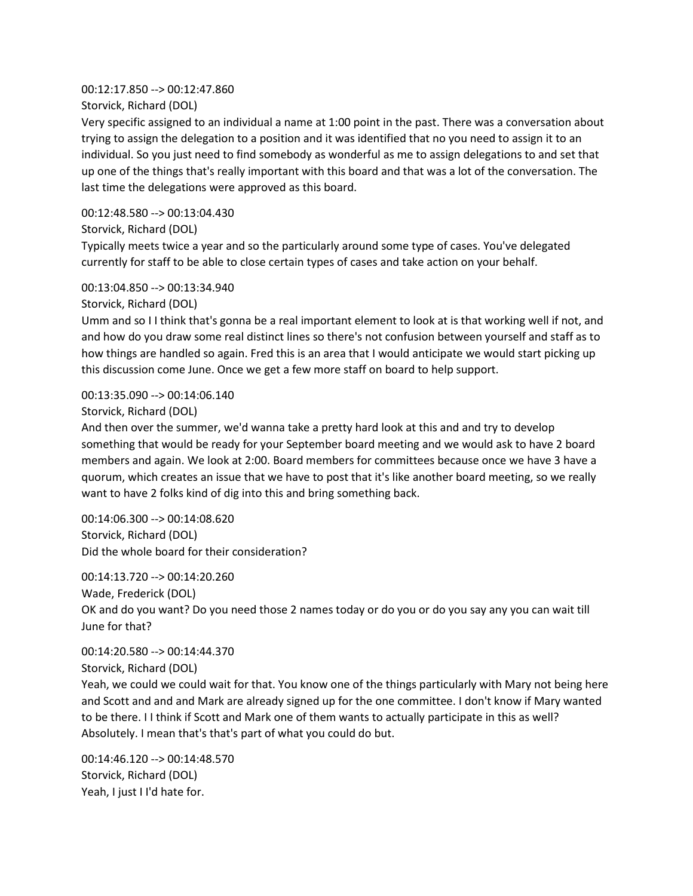#### 00:12:17.850 --> 00:12:47.860

Storvick, Richard (DOL)

Very specific assigned to an individual a name at 1:00 point in the past. There was a conversation about trying to assign the delegation to a position and it was identified that no you need to assign it to an individual. So you just need to find somebody as wonderful as me to assign delegations to and set that up one of the things that's really important with this board and that was a lot of the conversation. The last time the delegations were approved as this board.

### 00:12:48.580 --> 00:13:04.430

Storvick, Richard (DOL)

Typically meets twice a year and so the particularly around some type of cases. You've delegated currently for staff to be able to close certain types of cases and take action on your behalf.

### 00:13:04.850 --> 00:13:34.940

Storvick, Richard (DOL)

Umm and so I I think that's gonna be a real important element to look at is that working well if not, and and how do you draw some real distinct lines so there's not confusion between yourself and staff as to how things are handled so again. Fred this is an area that I would anticipate we would start picking up this discussion come June. Once we get a few more staff on board to help support.

### 00:13:35.090 --> 00:14:06.140

#### Storvick, Richard (DOL)

And then over the summer, we'd wanna take a pretty hard look at this and and try to develop something that would be ready for your September board meeting and we would ask to have 2 board members and again. We look at 2:00. Board members for committees because once we have 3 have a quorum, which creates an issue that we have to post that it's like another board meeting, so we really want to have 2 folks kind of dig into this and bring something back.

00:14:06.300 --> 00:14:08.620 Storvick, Richard (DOL) Did the whole board for their consideration?

00:14:13.720 --> 00:14:20.260 Wade, Frederick (DOL) OK and do you want? Do you need those 2 names today or do you or do you say any you can wait till June for that?

00:14:20.580 --> 00:14:44.370 Storvick, Richard (DOL)

Yeah, we could we could wait for that. You know one of the things particularly with Mary not being here and Scott and and and Mark are already signed up for the one committee. I don't know if Mary wanted to be there. I I think if Scott and Mark one of them wants to actually participate in this as well? Absolutely. I mean that's that's part of what you could do but.

00:14:46.120 --> 00:14:48.570 Storvick, Richard (DOL) Yeah, I just I I'd hate for.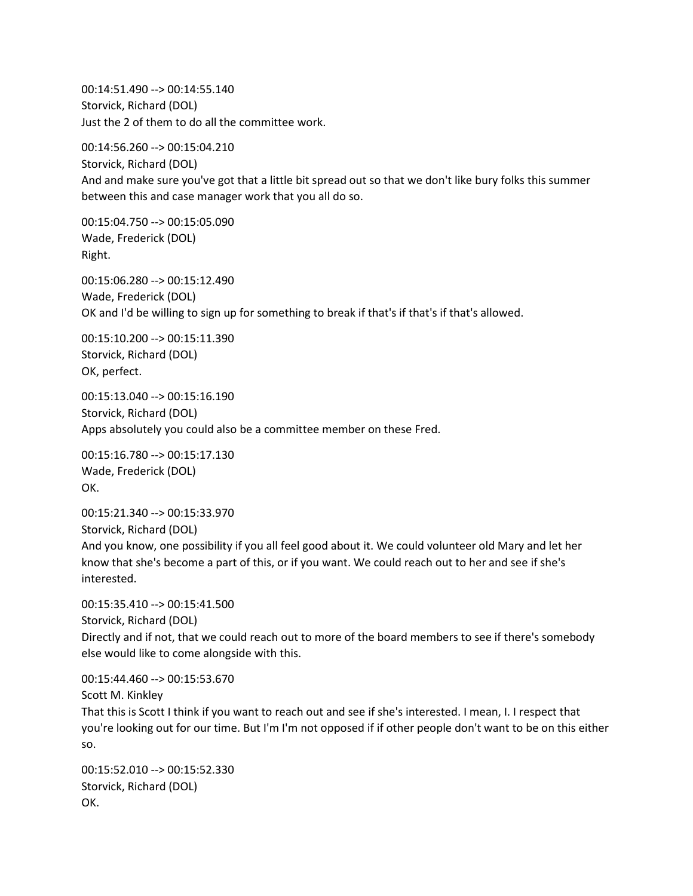00:14:51.490 --> 00:14:55.140 Storvick, Richard (DOL) Just the 2 of them to do all the committee work.

00:14:56.260 --> 00:15:04.210 Storvick, Richard (DOL) And and make sure you've got that a little bit spread out so that we don't like bury folks this summer between this and case manager work that you all do so.

00:15:04.750 --> 00:15:05.090 Wade, Frederick (DOL) Right.

00:15:06.280 --> 00:15:12.490 Wade, Frederick (DOL) OK and I'd be willing to sign up for something to break if that's if that's if that's allowed.

00:15:10.200 --> 00:15:11.390 Storvick, Richard (DOL) OK, perfect.

00:15:13.040 --> 00:15:16.190 Storvick, Richard (DOL) Apps absolutely you could also be a committee member on these Fred.

00:15:16.780 --> 00:15:17.130 Wade, Frederick (DOL) OK.

00:15:21.340 --> 00:15:33.970 Storvick, Richard (DOL) And you know, one possibility if you all feel good about it. We could volunteer old Mary and let her know that she's become a part of this, or if you want. We could reach out to her and see if she's interested.

00:15:35.410 --> 00:15:41.500 Storvick, Richard (DOL) Directly and if not, that we could reach out to more of the board members to see if there's somebody else would like to come alongside with this.

00:15:44.460 --> 00:15:53.670 Scott M. Kinkley That this is Scott I think if you want to reach out and see if she's interested. I mean, I. I respect that you're looking out for our time. But I'm I'm not opposed if if other people don't want to be on this either so.

00:15:52.010 --> 00:15:52.330 Storvick, Richard (DOL) OK.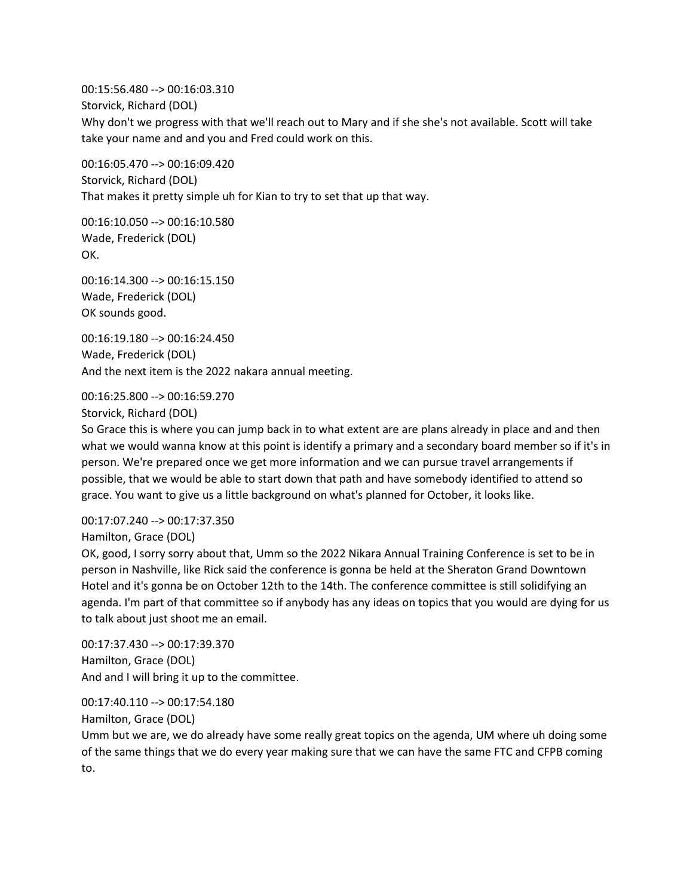00:15:56.480 --> 00:16:03.310 Storvick, Richard (DOL) Why don't we progress with that we'll reach out to Mary and if she she's not available. Scott will take take your name and and you and Fred could work on this.

00:16:05.470 --> 00:16:09.420 Storvick, Richard (DOL) That makes it pretty simple uh for Kian to try to set that up that way.

00:16:10.050 --> 00:16:10.580 Wade, Frederick (DOL) OK.

00:16:14.300 --> 00:16:15.150 Wade, Frederick (DOL) OK sounds good.

00:16:19.180 --> 00:16:24.450 Wade, Frederick (DOL) And the next item is the 2022 nakara annual meeting.

00:16:25.800 --> 00:16:59.270

Storvick, Richard (DOL)

So Grace this is where you can jump back in to what extent are are plans already in place and and then what we would wanna know at this point is identify a primary and a secondary board member so if it's in person. We're prepared once we get more information and we can pursue travel arrangements if possible, that we would be able to start down that path and have somebody identified to attend so grace. You want to give us a little background on what's planned for October, it looks like.

00:17:07.240 --> 00:17:37.350

Hamilton, Grace (DOL)

OK, good, I sorry sorry about that, Umm so the 2022 Nikara Annual Training Conference is set to be in person in Nashville, like Rick said the conference is gonna be held at the Sheraton Grand Downtown Hotel and it's gonna be on October 12th to the 14th. The conference committee is still solidifying an agenda. I'm part of that committee so if anybody has any ideas on topics that you would are dying for us to talk about just shoot me an email.

00:17:37.430 --> 00:17:39.370 Hamilton, Grace (DOL) And and I will bring it up to the committee.

00:17:40.110 --> 00:17:54.180 Hamilton, Grace (DOL)

Umm but we are, we do already have some really great topics on the agenda, UM where uh doing some of the same things that we do every year making sure that we can have the same FTC and CFPB coming to.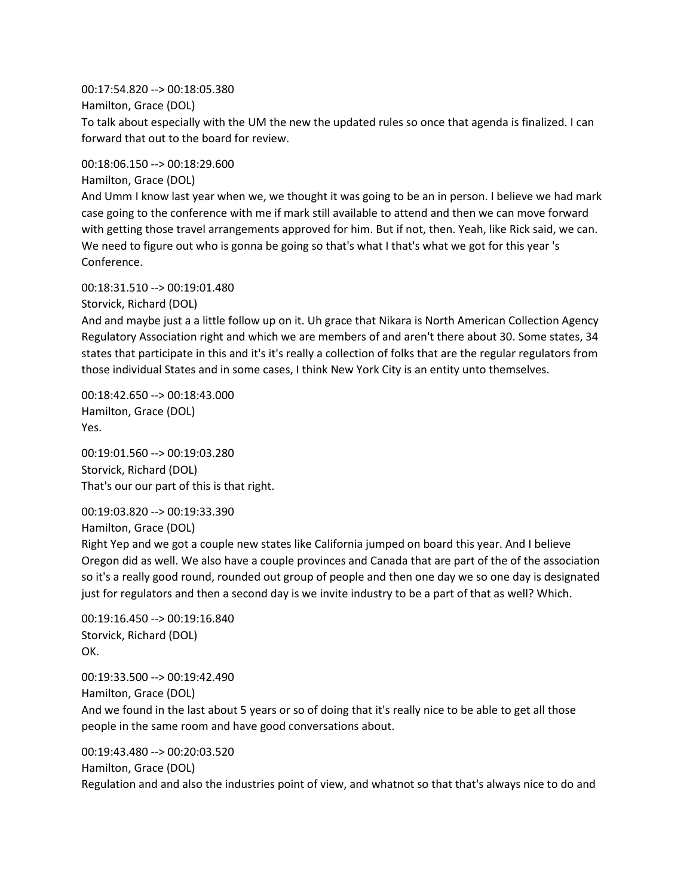00:17:54.820 --> 00:18:05.380 Hamilton, Grace (DOL) To talk about especially with the UM the new the updated rules so once that agenda is finalized. I can forward that out to the board for review.

00:18:06.150 --> 00:18:29.600

Hamilton, Grace (DOL)

And Umm I know last year when we, we thought it was going to be an in person. I believe we had mark case going to the conference with me if mark still available to attend and then we can move forward with getting those travel arrangements approved for him. But if not, then. Yeah, like Rick said, we can. We need to figure out who is gonna be going so that's what I that's what we got for this year 's Conference.

00:18:31.510 --> 00:19:01.480

Storvick, Richard (DOL)

And and maybe just a a little follow up on it. Uh grace that Nikara is North American Collection Agency Regulatory Association right and which we are members of and aren't there about 30. Some states, 34 states that participate in this and it's it's really a collection of folks that are the regular regulators from those individual States and in some cases, I think New York City is an entity unto themselves.

00:18:42.650 --> 00:18:43.000 Hamilton, Grace (DOL) Yes.

00:19:01.560 --> 00:19:03.280 Storvick, Richard (DOL) That's our our part of this is that right.

00:19:03.820 --> 00:19:33.390

```
Hamilton, Grace (DOL)
```
Right Yep and we got a couple new states like California jumped on board this year. And I believe Oregon did as well. We also have a couple provinces and Canada that are part of the of the association so it's a really good round, rounded out group of people and then one day we so one day is designated just for regulators and then a second day is we invite industry to be a part of that as well? Which.

00:19:16.450 --> 00:19:16.840 Storvick, Richard (DOL) OK.

00:19:33.500 --> 00:19:42.490 Hamilton, Grace (DOL) And we found in the last about 5 years or so of doing that it's really nice to be able to get all those people in the same room and have good conversations about.

00:19:43.480 --> 00:20:03.520 Hamilton, Grace (DOL) Regulation and and also the industries point of view, and whatnot so that that's always nice to do and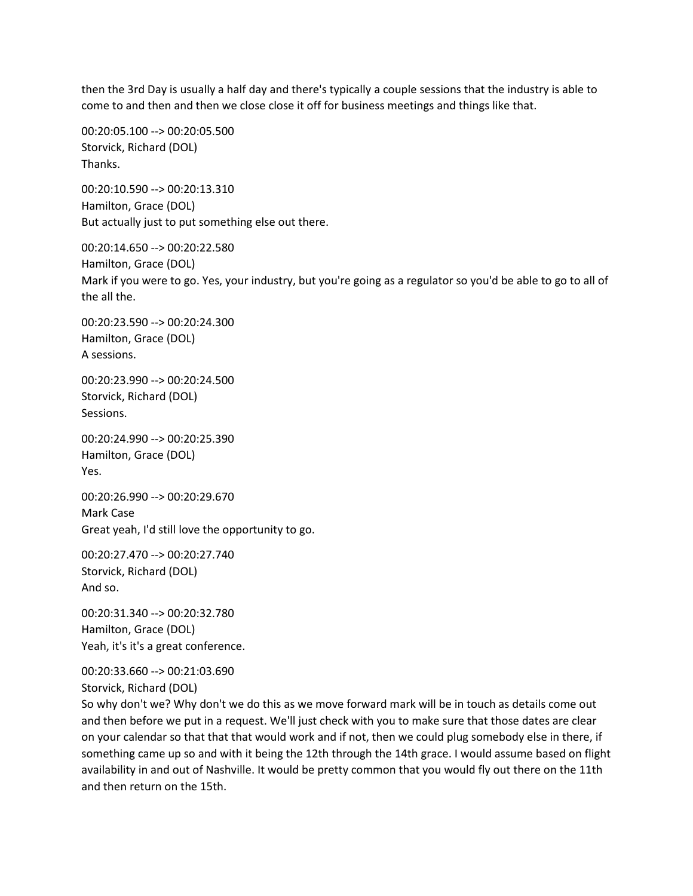then the 3rd Day is usually a half day and there's typically a couple sessions that the industry is able to come to and then and then we close close it off for business meetings and things like that.

00:20:05.100 --> 00:20:05.500 Storvick, Richard (DOL) Thanks.

00:20:10.590 --> 00:20:13.310 Hamilton, Grace (DOL) But actually just to put something else out there.

00:20:14.650 --> 00:20:22.580 Hamilton, Grace (DOL) Mark if you were to go. Yes, your industry, but you're going as a regulator so you'd be able to go to all of the all the.

00:20:23.590 --> 00:20:24.300 Hamilton, Grace (DOL) A sessions.

00:20:23.990 --> 00:20:24.500 Storvick, Richard (DOL) Sessions.

00:20:24.990 --> 00:20:25.390 Hamilton, Grace (DOL) Yes.

00:20:26.990 --> 00:20:29.670 Mark Case Great yeah, I'd still love the opportunity to go.

00:20:27.470 --> 00:20:27.740 Storvick, Richard (DOL) And so.

00:20:31.340 --> 00:20:32.780 Hamilton, Grace (DOL) Yeah, it's it's a great conference.

00:20:33.660 --> 00:21:03.690 Storvick, Richard (DOL)

So why don't we? Why don't we do this as we move forward mark will be in touch as details come out and then before we put in a request. We'll just check with you to make sure that those dates are clear on your calendar so that that that would work and if not, then we could plug somebody else in there, if something came up so and with it being the 12th through the 14th grace. I would assume based on flight availability in and out of Nashville. It would be pretty common that you would fly out there on the 11th and then return on the 15th.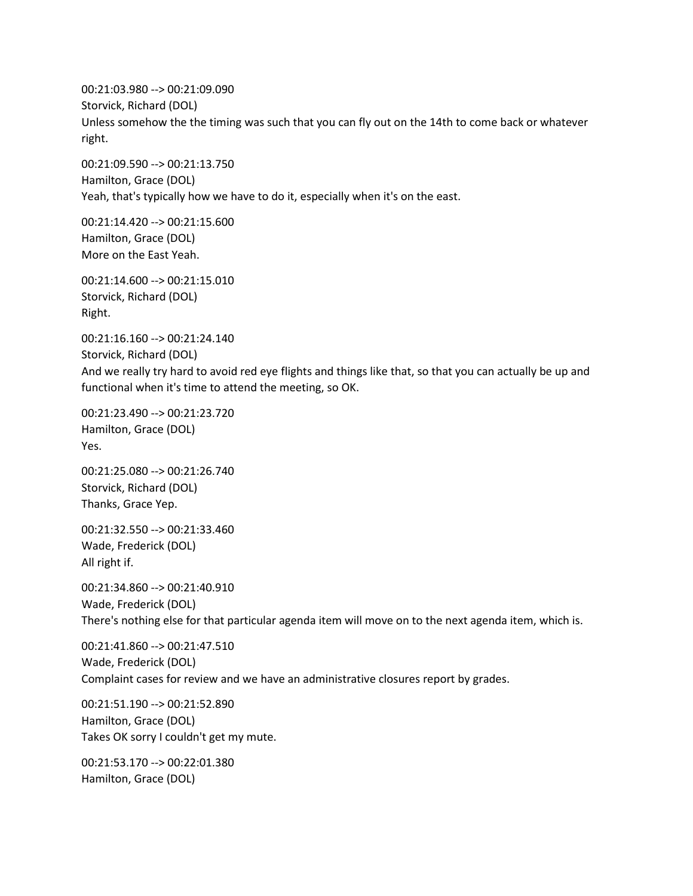00:21:03.980 --> 00:21:09.090 Storvick, Richard (DOL) Unless somehow the the timing was such that you can fly out on the 14th to come back or whatever right.

00:21:09.590 --> 00:21:13.750 Hamilton, Grace (DOL) Yeah, that's typically how we have to do it, especially when it's on the east.

00:21:14.420 --> 00:21:15.600 Hamilton, Grace (DOL) More on the East Yeah.

00:21:14.600 --> 00:21:15.010 Storvick, Richard (DOL) Right.

00:21:16.160 --> 00:21:24.140 Storvick, Richard (DOL) And we really try hard to avoid red eye flights and things like that, so that you can actually be up and functional when it's time to attend the meeting, so OK.

00:21:23.490 --> 00:21:23.720 Hamilton, Grace (DOL) Yes.

00:21:25.080 --> 00:21:26.740 Storvick, Richard (DOL) Thanks, Grace Yep.

00:21:32.550 --> 00:21:33.460 Wade, Frederick (DOL) All right if.

00:21:34.860 --> 00:21:40.910 Wade, Frederick (DOL) There's nothing else for that particular agenda item will move on to the next agenda item, which is.

00:21:41.860 --> 00:21:47.510 Wade, Frederick (DOL) Complaint cases for review and we have an administrative closures report by grades.

00:21:51.190 --> 00:21:52.890 Hamilton, Grace (DOL) Takes OK sorry I couldn't get my mute.

00:21:53.170 --> 00:22:01.380 Hamilton, Grace (DOL)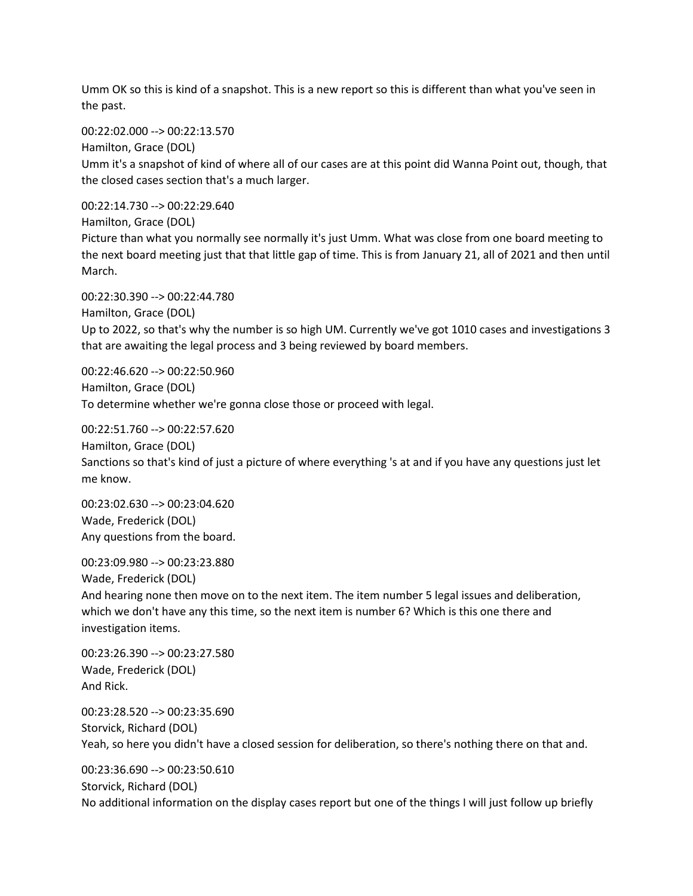Umm OK so this is kind of a snapshot. This is a new report so this is different than what you've seen in the past.

00:22:02.000 --> 00:22:13.570

Hamilton, Grace (DOL)

Umm it's a snapshot of kind of where all of our cases are at this point did Wanna Point out, though, that the closed cases section that's a much larger.

00:22:14.730 --> 00:22:29.640

Hamilton, Grace (DOL)

Picture than what you normally see normally it's just Umm. What was close from one board meeting to the next board meeting just that that little gap of time. This is from January 21, all of 2021 and then until March.

00:22:30.390 --> 00:22:44.780

Hamilton, Grace (DOL)

Up to 2022, so that's why the number is so high UM. Currently we've got 1010 cases and investigations 3 that are awaiting the legal process and 3 being reviewed by board members.

00:22:46.620 --> 00:22:50.960 Hamilton, Grace (DOL) To determine whether we're gonna close those or proceed with legal.

00:22:51.760 --> 00:22:57.620 Hamilton, Grace (DOL) Sanctions so that's kind of just a picture of where everything 's at and if you have any questions just let me know.

00:23:02.630 --> 00:23:04.620 Wade, Frederick (DOL) Any questions from the board.

00:23:09.980 --> 00:23:23.880 Wade, Frederick (DOL) And hearing none then move on to the next item. The item number 5 legal issues and deliberation, which we don't have any this time, so the next item is number 6? Which is this one there and investigation items.

00:23:26.390 --> 00:23:27.580 Wade, Frederick (DOL) And Rick.

00:23:28.520 --> 00:23:35.690 Storvick, Richard (DOL) Yeah, so here you didn't have a closed session for deliberation, so there's nothing there on that and.

00:23:36.690 --> 00:23:50.610 Storvick, Richard (DOL) No additional information on the display cases report but one of the things I will just follow up briefly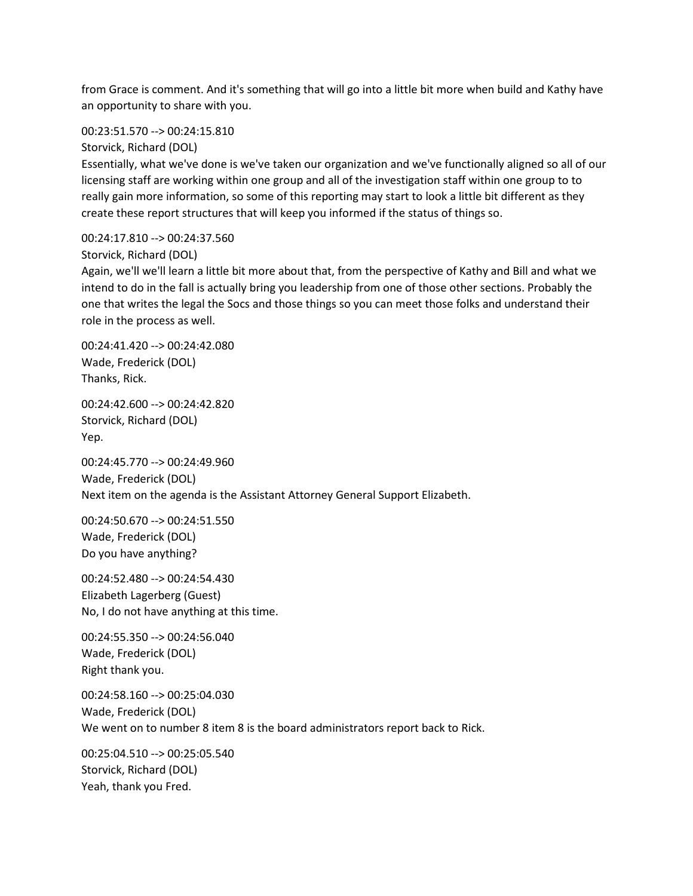from Grace is comment. And it's something that will go into a little bit more when build and Kathy have an opportunity to share with you.

00:23:51.570 --> 00:24:15.810

Storvick, Richard (DOL)

Essentially, what we've done is we've taken our organization and we've functionally aligned so all of our licensing staff are working within one group and all of the investigation staff within one group to to really gain more information, so some of this reporting may start to look a little bit different as they create these report structures that will keep you informed if the status of things so.

00:24:17.810 --> 00:24:37.560

Storvick, Richard (DOL)

Again, we'll we'll learn a little bit more about that, from the perspective of Kathy and Bill and what we intend to do in the fall is actually bring you leadership from one of those other sections. Probably the one that writes the legal the Socs and those things so you can meet those folks and understand their role in the process as well.

00:24:41.420 --> 00:24:42.080 Wade, Frederick (DOL) Thanks, Rick.

00:24:42.600 --> 00:24:42.820 Storvick, Richard (DOL) Yep.

00:24:45.770 --> 00:24:49.960 Wade, Frederick (DOL) Next item on the agenda is the Assistant Attorney General Support Elizabeth.

00:24:50.670 --> 00:24:51.550 Wade, Frederick (DOL) Do you have anything?

00:24:52.480 --> 00:24:54.430 Elizabeth Lagerberg (Guest) No, I do not have anything at this time.

00:24:55.350 --> 00:24:56.040 Wade, Frederick (DOL) Right thank you.

00:24:58.160 --> 00:25:04.030 Wade, Frederick (DOL) We went on to number 8 item 8 is the board administrators report back to Rick.

00:25:04.510 --> 00:25:05.540 Storvick, Richard (DOL) Yeah, thank you Fred.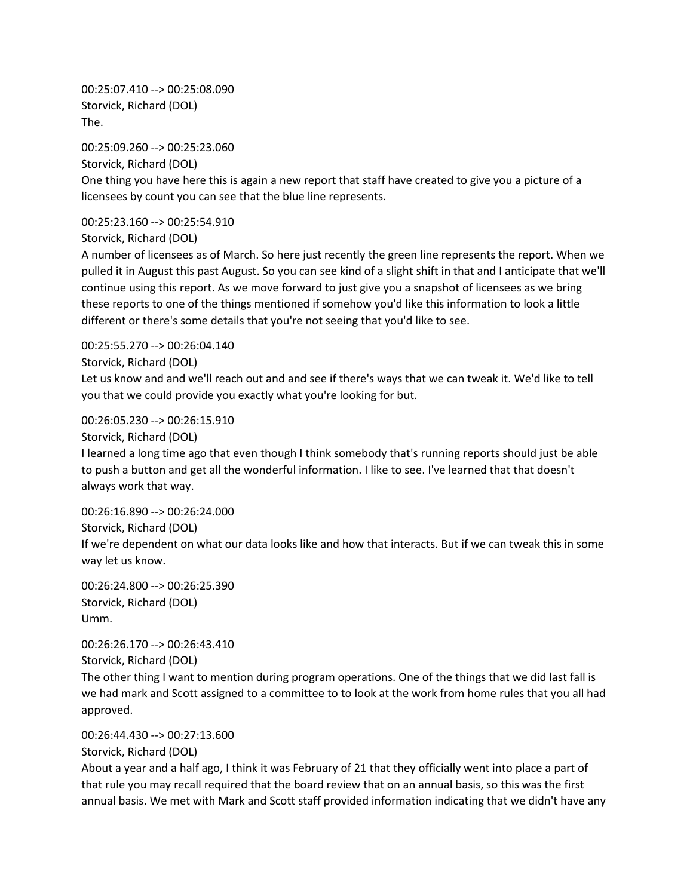00:25:07.410 --> 00:25:08.090 Storvick, Richard (DOL) The.

00:25:09.260 --> 00:25:23.060 Storvick, Richard (DOL) One thing you have here this is again a new report that staff have created to give you a picture of a licensees by count you can see that the blue line represents.

00:25:23.160 --> 00:25:54.910

Storvick, Richard (DOL)

A number of licensees as of March. So here just recently the green line represents the report. When we pulled it in August this past August. So you can see kind of a slight shift in that and I anticipate that we'll continue using this report. As we move forward to just give you a snapshot of licensees as we bring these reports to one of the things mentioned if somehow you'd like this information to look a little different or there's some details that you're not seeing that you'd like to see.

00:25:55.270 --> 00:26:04.140 Storvick, Richard (DOL)

Let us know and and we'll reach out and and see if there's ways that we can tweak it. We'd like to tell you that we could provide you exactly what you're looking for but.

00:26:05.230 --> 00:26:15.910

Storvick, Richard (DOL)

I learned a long time ago that even though I think somebody that's running reports should just be able to push a button and get all the wonderful information. I like to see. I've learned that that doesn't always work that way.

00:26:16.890 --> 00:26:24.000 Storvick, Richard (DOL) If we're dependent on what our data looks like and how that interacts. But if we can tweak this in some way let us know.

00:26:24.800 --> 00:26:25.390 Storvick, Richard (DOL) Umm.

00:26:26.170 --> 00:26:43.410 Storvick, Richard (DOL)

The other thing I want to mention during program operations. One of the things that we did last fall is we had mark and Scott assigned to a committee to to look at the work from home rules that you all had approved.

00:26:44.430 --> 00:27:13.600

Storvick, Richard (DOL)

About a year and a half ago, I think it was February of 21 that they officially went into place a part of that rule you may recall required that the board review that on an annual basis, so this was the first annual basis. We met with Mark and Scott staff provided information indicating that we didn't have any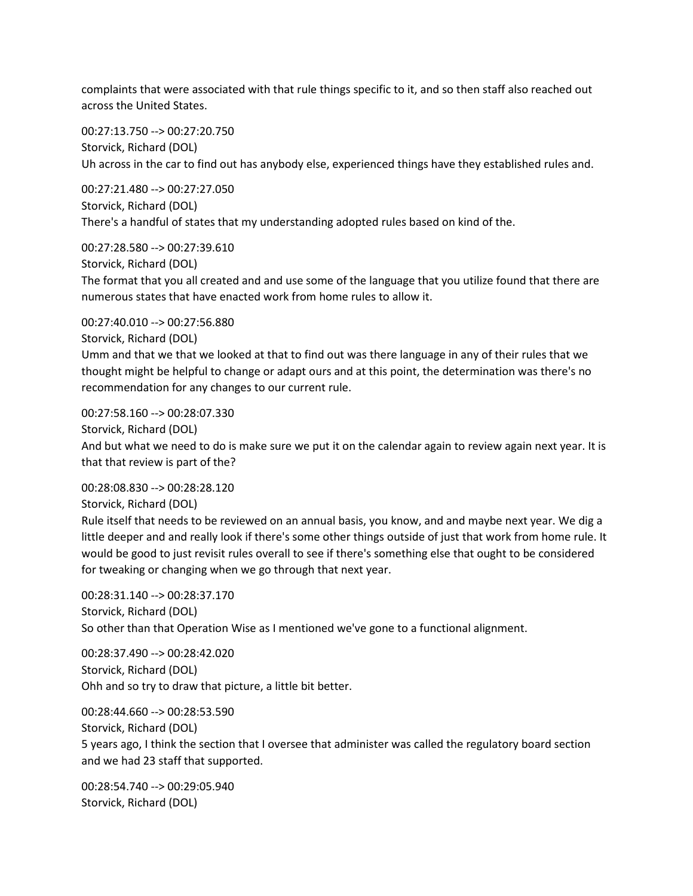complaints that were associated with that rule things specific to it, and so then staff also reached out across the United States.

00:27:13.750 --> 00:27:20.750 Storvick, Richard (DOL) Uh across in the car to find out has anybody else, experienced things have they established rules and.

00:27:21.480 --> 00:27:27.050 Storvick, Richard (DOL) There's a handful of states that my understanding adopted rules based on kind of the.

00:27:28.580 --> 00:27:39.610 Storvick, Richard (DOL) The format that you all created and and use some of the language that you utilize found that there are numerous states that have enacted work from home rules to allow it.

00:27:40.010 --> 00:27:56.880 Storvick, Richard (DOL) Umm and that we that we looked at that to find out was there language in any of their rules that we thought might be helpful to change or adapt ours and at this point, the determination was there's no recommendation for any changes to our current rule.

00:27:58.160 --> 00:28:07.330

Storvick, Richard (DOL)

And but what we need to do is make sure we put it on the calendar again to review again next year. It is that that review is part of the?

00:28:08.830 --> 00:28:28.120

Storvick, Richard (DOL)

Rule itself that needs to be reviewed on an annual basis, you know, and and maybe next year. We dig a little deeper and and really look if there's some other things outside of just that work from home rule. It would be good to just revisit rules overall to see if there's something else that ought to be considered for tweaking or changing when we go through that next year.

00:28:31.140 --> 00:28:37.170 Storvick, Richard (DOL) So other than that Operation Wise as I mentioned we've gone to a functional alignment.

00:28:37.490 --> 00:28:42.020 Storvick, Richard (DOL) Ohh and so try to draw that picture, a little bit better.

00:28:44.660 --> 00:28:53.590 Storvick, Richard (DOL) 5 years ago, I think the section that I oversee that administer was called the regulatory board section and we had 23 staff that supported.

00:28:54.740 --> 00:29:05.940 Storvick, Richard (DOL)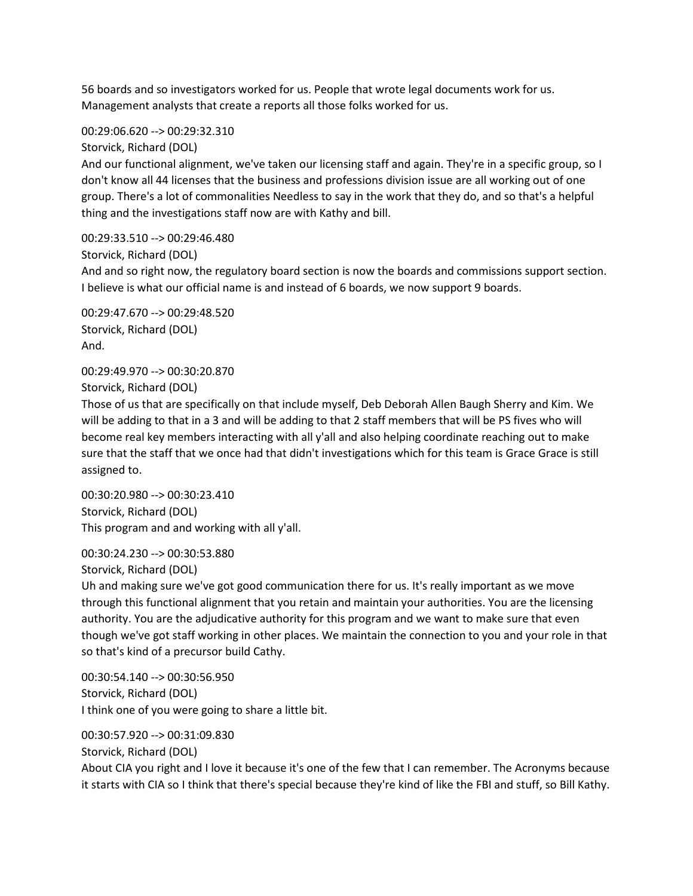56 boards and so investigators worked for us. People that wrote legal documents work for us. Management analysts that create a reports all those folks worked for us.

00:29:06.620 --> 00:29:32.310

Storvick, Richard (DOL)

And our functional alignment, we've taken our licensing staff and again. They're in a specific group, so I don't know all 44 licenses that the business and professions division issue are all working out of one group. There's a lot of commonalities Needless to say in the work that they do, and so that's a helpful thing and the investigations staff now are with Kathy and bill.

00:29:33.510 --> 00:29:46.480 Storvick, Richard (DOL) And and so right now, the regulatory board section is now the boards and commissions support section. I believe is what our official name is and instead of 6 boards, we now support 9 boards.

00:29:47.670 --> 00:29:48.520 Storvick, Richard (DOL) And.

00:29:49.970 --> 00:30:20.870 Storvick, Richard (DOL)

Those of us that are specifically on that include myself, Deb Deborah Allen Baugh Sherry and Kim. We will be adding to that in a 3 and will be adding to that 2 staff members that will be PS fives who will become real key members interacting with all y'all and also helping coordinate reaching out to make sure that the staff that we once had that didn't investigations which for this team is Grace Grace is still assigned to.

00:30:20.980 --> 00:30:23.410 Storvick, Richard (DOL) This program and and working with all y'all.

00:30:24.230 --> 00:30:53.880 Storvick, Richard (DOL)

Uh and making sure we've got good communication there for us. It's really important as we move through this functional alignment that you retain and maintain your authorities. You are the licensing authority. You are the adjudicative authority for this program and we want to make sure that even though we've got staff working in other places. We maintain the connection to you and your role in that so that's kind of a precursor build Cathy.

00:30:54.140 --> 00:30:56.950 Storvick, Richard (DOL) I think one of you were going to share a little bit.

00:30:57.920 --> 00:31:09.830 Storvick, Richard (DOL) About CIA you right and I love it because it's one of the few that I can remember. The Acronyms because it starts with CIA so I think that there's special because they're kind of like the FBI and stuff, so Bill Kathy.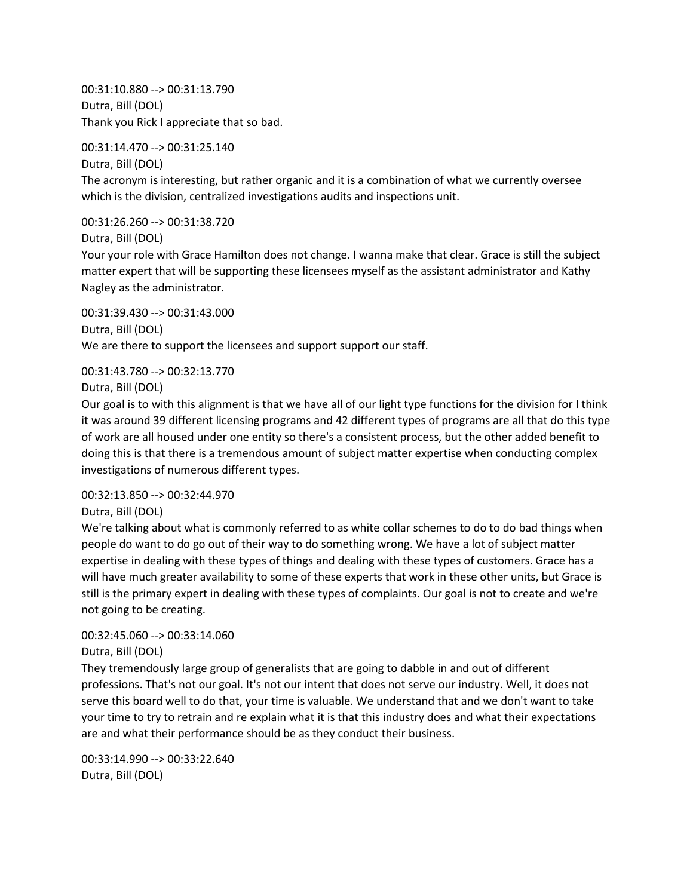00:31:10.880 --> 00:31:13.790 Dutra, Bill (DOL) Thank you Rick I appreciate that so bad.

00:31:14.470 --> 00:31:25.140

Dutra, Bill (DOL) The acronym is interesting, but rather organic and it is a combination of what we currently oversee which is the division, centralized investigations audits and inspections unit.

00:31:26.260 --> 00:31:38.720

Dutra, Bill (DOL)

Your your role with Grace Hamilton does not change. I wanna make that clear. Grace is still the subject matter expert that will be supporting these licensees myself as the assistant administrator and Kathy Nagley as the administrator.

00:31:39.430 --> 00:31:43.000 Dutra, Bill (DOL) We are there to support the licensees and support support our staff.

00:31:43.780 --> 00:32:13.770

Dutra, Bill (DOL)

Our goal is to with this alignment is that we have all of our light type functions for the division for I think it was around 39 different licensing programs and 42 different types of programs are all that do this type of work are all housed under one entity so there's a consistent process, but the other added benefit to doing this is that there is a tremendous amount of subject matter expertise when conducting complex investigations of numerous different types.

00:32:13.850 --> 00:32:44.970

Dutra, Bill (DOL)

We're talking about what is commonly referred to as white collar schemes to do to do bad things when people do want to do go out of their way to do something wrong. We have a lot of subject matter expertise in dealing with these types of things and dealing with these types of customers. Grace has a will have much greater availability to some of these experts that work in these other units, but Grace is still is the primary expert in dealing with these types of complaints. Our goal is not to create and we're not going to be creating.

# 00:32:45.060 --> 00:33:14.060

Dutra, Bill (DOL)

They tremendously large group of generalists that are going to dabble in and out of different professions. That's not our goal. It's not our intent that does not serve our industry. Well, it does not serve this board well to do that, your time is valuable. We understand that and we don't want to take your time to try to retrain and re explain what it is that this industry does and what their expectations are and what their performance should be as they conduct their business.

00:33:14.990 --> 00:33:22.640 Dutra, Bill (DOL)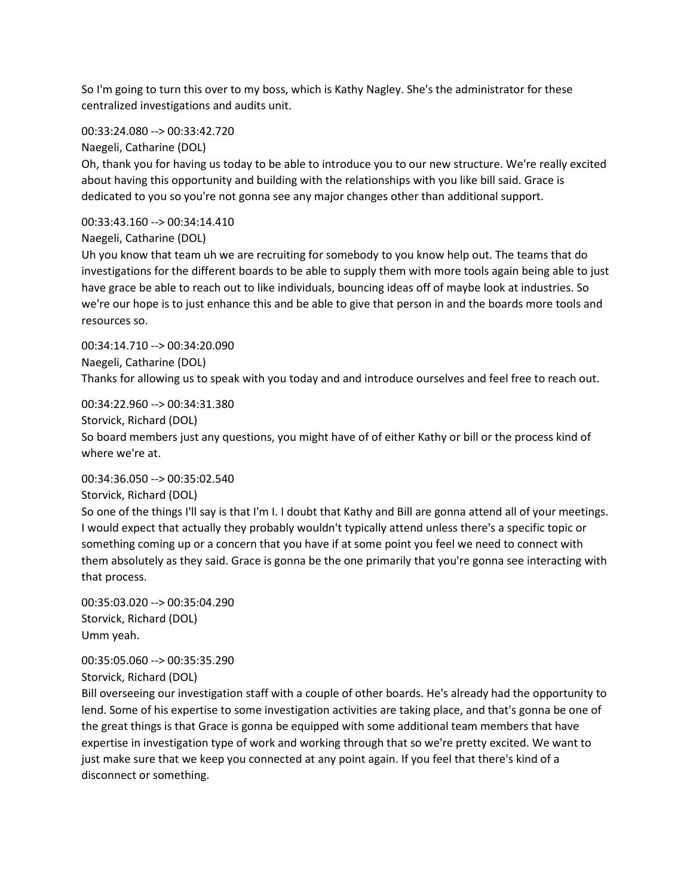So I'm going to turn this over to my boss, which is Kathy Nagley. She's the administrator for these centralized investigations and audits unit.

00:33:24.080 --> 00:33:42.720

Naegeli, Catharine (DOL)

Oh, thank you for having us today to be able to introduce you to our new structure. We're really excited about having this opportunity and building with the relationships with you like bill said. Grace is dedicated to you so you're not gonna see any major changes other than additional support.

00:33:43.160 --> 00:34:14.410

Naegeli, Catharine (DOL)

Uh you know that team uh we are recruiting for somebody to you know help out. The teams that do investigations for the different boards to be able to supply them with more tools again being able to just have grace be able to reach out to like individuals, bouncing ideas off of maybe look at industries. So we're our hope is to just enhance this and be able to give that person in and the boards more tools and resources so.

00:34:14.710 --> 00:34:20.090 Naegeli, Catharine (DOL) Thanks for allowing us to speak with you today and and introduce ourselves and feel free to reach out.

00:34:22.960 --> 00:34:31.380

Storvick, Richard (DOL)

So board members just any questions, you might have of of either Kathy or bill or the process kind of where we're at.

# 00:34:36.050 --> 00:35:02.540

Storvick, Richard (DOL)

So one of the things I'll say is that I'm I. I doubt that Kathy and Bill are gonna attend all of your meetings. I would expect that actually they probably wouldn't typically attend unless there's a specific topic or something coming up or a concern that you have if at some point you feel we need to connect with them absolutely as they said. Grace is gonna be the one primarily that you're gonna see interacting with that process.

00:35:03.020 --> 00:35:04.290 Storvick, Richard (DOL) Umm yeah.

00:35:05.060 --> 00:35:35.290

Storvick, Richard (DOL)

Bill overseeing our investigation staff with a couple of other boards. He's already had the opportunity to lend. Some of his expertise to some investigation activities are taking place, and that's gonna be one of the great things is that Grace is gonna be equipped with some additional team members that have expertise in investigation type of work and working through that so we're pretty excited. We want to just make sure that we keep you connected at any point again. If you feel that there's kind of a disconnect or something.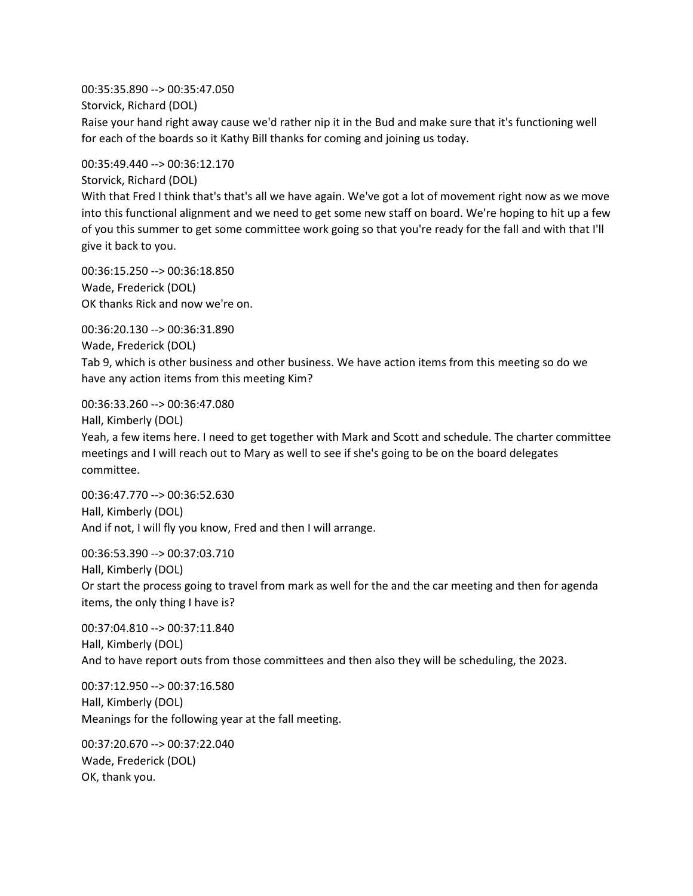00:35:35.890 --> 00:35:47.050 Storvick, Richard (DOL) Raise your hand right away cause we'd rather nip it in the Bud and make sure that it's functioning well for each of the boards so it Kathy Bill thanks for coming and joining us today.

00:35:49.440 --> 00:36:12.170

Storvick, Richard (DOL)

With that Fred I think that's that's all we have again. We've got a lot of movement right now as we move into this functional alignment and we need to get some new staff on board. We're hoping to hit up a few of you this summer to get some committee work going so that you're ready for the fall and with that I'll give it back to you.

00:36:15.250 --> 00:36:18.850 Wade, Frederick (DOL) OK thanks Rick and now we're on.

00:36:20.130 --> 00:36:31.890 Wade, Frederick (DOL) Tab 9, which is other business and other business. We have action items from this meeting so do we have any action items from this meeting Kim?

00:36:33.260 --> 00:36:47.080

Hall, Kimberly (DOL)

Yeah, a few items here. I need to get together with Mark and Scott and schedule. The charter committee meetings and I will reach out to Mary as well to see if she's going to be on the board delegates committee.

00:36:47.770 --> 00:36:52.630 Hall, Kimberly (DOL) And if not, I will fly you know, Fred and then I will arrange.

00:36:53.390 --> 00:37:03.710 Hall, Kimberly (DOL) Or start the process going to travel from mark as well for the and the car meeting and then for agenda items, the only thing I have is?

00:37:04.810 --> 00:37:11.840 Hall, Kimberly (DOL) And to have report outs from those committees and then also they will be scheduling, the 2023.

00:37:12.950 --> 00:37:16.580 Hall, Kimberly (DOL) Meanings for the following year at the fall meeting.

00:37:20.670 --> 00:37:22.040 Wade, Frederick (DOL) OK, thank you.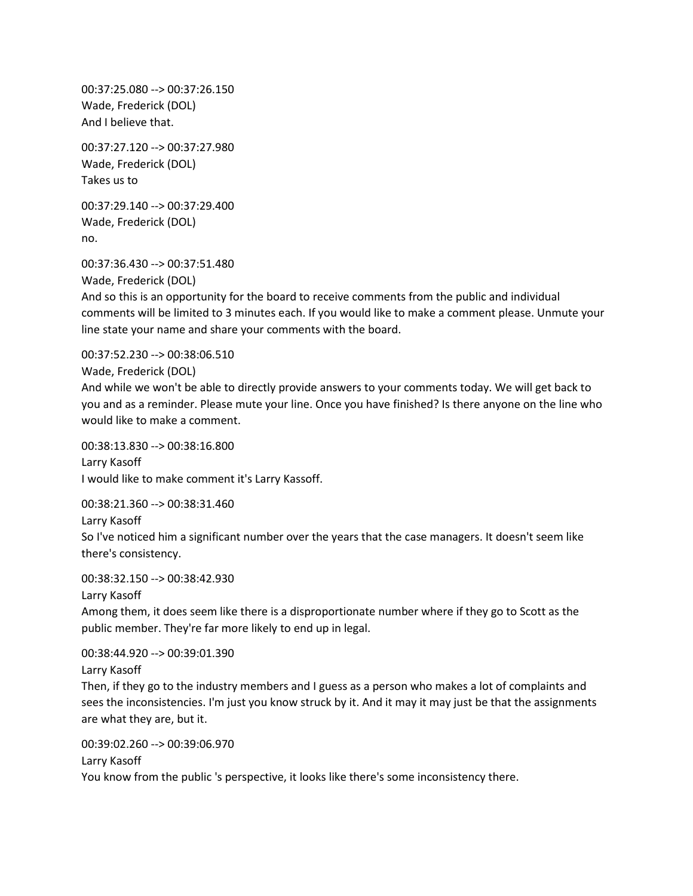00:37:25.080 --> 00:37:26.150 Wade, Frederick (DOL) And I believe that.

00:37:27.120 --> 00:37:27.980 Wade, Frederick (DOL) Takes us to

00:37:29.140 --> 00:37:29.400 Wade, Frederick (DOL) no.

00:37:36.430 --> 00:37:51.480 Wade, Frederick (DOL) And so this is an opportunity for the board to receive comments from the public and individual comments will be limited to 3 minutes each. If you would like to make a comment please. Unmute your line state your name and share your comments with the board.

00:37:52.230 --> 00:38:06.510 Wade, Frederick (DOL) And while we won't be able to directly provide answers to your comments today. We will get back to you and as a reminder. Please mute your line. Once you have finished? Is there anyone on the line who would like to make a comment.

00:38:13.830 --> 00:38:16.800 Larry Kasoff I would like to make comment it's Larry Kassoff.

00:38:21.360 --> 00:38:31.460 Larry Kasoff So I've noticed him a significant number over the years that the case managers. It doesn't seem like there's consistency.

00:38:32.150 --> 00:38:42.930

Larry Kasoff

Among them, it does seem like there is a disproportionate number where if they go to Scott as the public member. They're far more likely to end up in legal.

00:38:44.920 --> 00:39:01.390 Larry Kasoff

Then, if they go to the industry members and I guess as a person who makes a lot of complaints and sees the inconsistencies. I'm just you know struck by it. And it may it may just be that the assignments are what they are, but it.

00:39:02.260 --> 00:39:06.970 Larry Kasoff You know from the public 's perspective, it looks like there's some inconsistency there.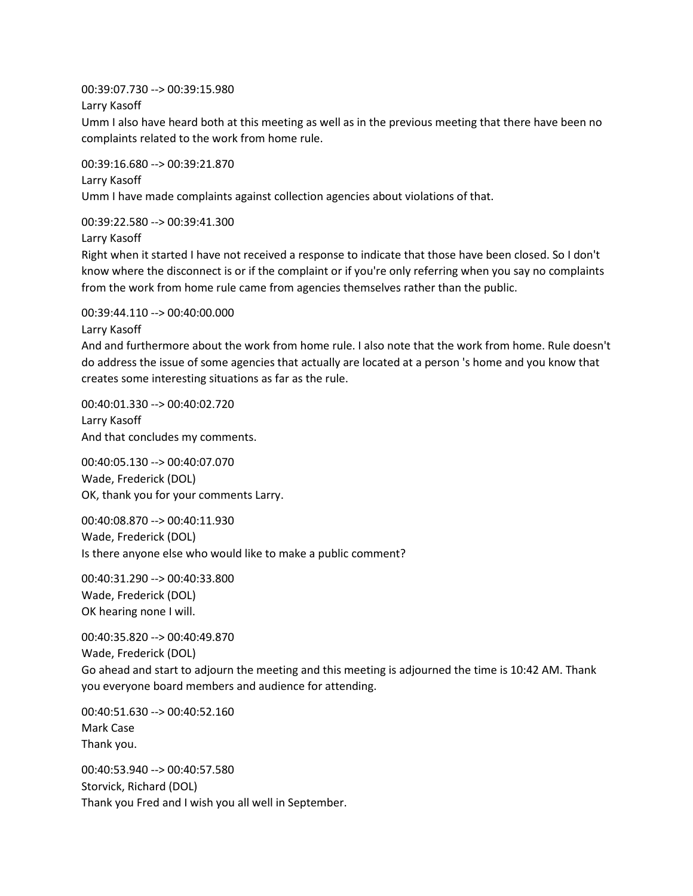00:39:07.730 --> 00:39:15.980

Larry Kasoff

Umm I also have heard both at this meeting as well as in the previous meeting that there have been no complaints related to the work from home rule.

00:39:16.680 --> 00:39:21.870 Larry Kasoff Umm I have made complaints against collection agencies about violations of that.

00:39:22.580 --> 00:39:41.300

Larry Kasoff

Right when it started I have not received a response to indicate that those have been closed. So I don't know where the disconnect is or if the complaint or if you're only referring when you say no complaints from the work from home rule came from agencies themselves rather than the public.

00:39:44.110 --> 00:40:00.000

Larry Kasoff

And and furthermore about the work from home rule. I also note that the work from home. Rule doesn't do address the issue of some agencies that actually are located at a person 's home and you know that creates some interesting situations as far as the rule.

00:40:01.330 --> 00:40:02.720 Larry Kasoff And that concludes my comments.

00:40:05.130 --> 00:40:07.070 Wade, Frederick (DOL) OK, thank you for your comments Larry.

00:40:08.870 --> 00:40:11.930 Wade, Frederick (DOL) Is there anyone else who would like to make a public comment?

00:40:31.290 --> 00:40:33.800 Wade, Frederick (DOL) OK hearing none I will.

00:40:35.820 --> 00:40:49.870 Wade, Frederick (DOL) Go ahead and start to adjourn the meeting and this meeting is adjourned the time is 10:42 AM. Thank you everyone board members and audience for attending.

00:40:51.630 --> 00:40:52.160 Mark Case Thank you.

00:40:53.940 --> 00:40:57.580 Storvick, Richard (DOL) Thank you Fred and I wish you all well in September.